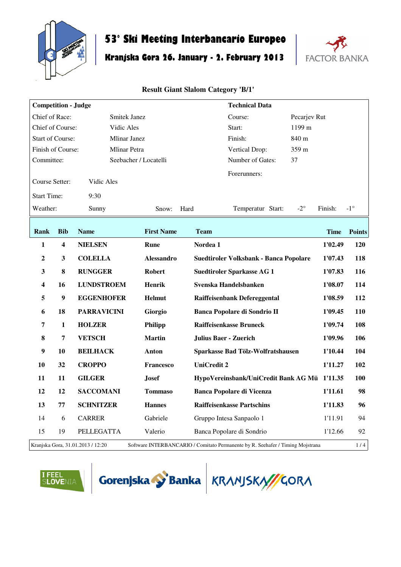

## **53° Ski Meeting Interbancario Europeo**

# **Kranjska Gora 26. January - 2. February 2013**



| <b>Competition - Judge</b>                                                                                                 |              |                     |                       | <b>Technical Data</b>                        |             |               |
|----------------------------------------------------------------------------------------------------------------------------|--------------|---------------------|-----------------------|----------------------------------------------|-------------|---------------|
| Chief of Race:                                                                                                             |              | Smitek Janez        |                       | Pecarjev Rut<br>Course:                      |             |               |
| Chief of Course:                                                                                                           |              | Vidic Ales          |                       | 1199 m<br>Start:                             |             |               |
| <b>Start of Course:</b><br><b>Mlinar Janez</b>                                                                             |              |                     |                       | Finish:<br>840 m                             |             |               |
| Finish of Course:                                                                                                          |              | <b>Mlinar Petra</b> |                       | 359 m<br>Vertical Drop:                      |             |               |
| Committee:                                                                                                                 |              |                     | Seebacher / Locatelli | Number of Gates:<br>37                       |             |               |
| Course Setter:                                                                                                             |              | Vidic Ales          |                       | Forerunners:                                 |             |               |
| <b>Start Time:</b>                                                                                                         |              | 9:30                |                       |                                              |             |               |
| Weather:                                                                                                                   |              | Sunny               | Hard<br>Snow:         | $-2^{\circ}$<br>Temperatur Start:            | Finish:     | $-1^{\circ}$  |
| Rank                                                                                                                       | <b>Bib</b>   | <b>Name</b>         | <b>First Name</b>     | <b>Team</b>                                  | <b>Time</b> | <b>Points</b> |
| 1                                                                                                                          | 4            | <b>NIELSEN</b>      | Rune                  | Nordea 1                                     | 1'02.49     | <b>120</b>    |
| $\boldsymbol{2}$                                                                                                           | 3            | <b>COLELLA</b>      | <b>Alessandro</b>     | Suedtiroler Volksbank - Banca Popolare       | 1'07.43     | 118           |
| 3                                                                                                                          | 8            | <b>RUNGGER</b>      | <b>Robert</b>         | <b>Suedtiroler Sparkasse AG 1</b>            | 1'07.83     | 116           |
| 4                                                                                                                          | 16           | <b>LUNDSTROEM</b>   | <b>Henrik</b>         | Svenska Handelsbanken                        | 1'08.07     | 114           |
| 5                                                                                                                          | 9            | <b>EGGENHOFER</b>   | <b>Helmut</b>         | Raiffeisenbank Defereggental                 | 1'08.59     | 112           |
| 6                                                                                                                          | 18           | <b>PARRAVICINI</b>  | Giorgio               | Banca Popolare di Sondrio II                 | 1'09.45     | <b>110</b>    |
| 7                                                                                                                          | $\mathbf{1}$ | <b>HOLZER</b>       | Philipp               | <b>Raiffeisenkasse Bruneck</b>               | 1'09.74     | 108           |
| 8                                                                                                                          | 7            | <b>VETSCH</b>       | <b>Martin</b>         | <b>Julius Baer - Zuerich</b>                 | 1'09.96     | 106           |
| 9                                                                                                                          | 10           | <b>BEILHACK</b>     | Anton                 | Sparkasse Bad Tölz-Wolfratshausen            | 1'10.44     | 104           |
| 10                                                                                                                         | 32           | <b>CROPPO</b>       | <b>Francesco</b>      | <b>UniCredit 2</b>                           | 1'11.27     | 102           |
| 11                                                                                                                         | 11           | <b>GILGER</b>       | <b>Josef</b>          | HypoVereinsbank/UniCredit Bank AG Mü 1'11.35 |             | <b>100</b>    |
| 12                                                                                                                         | 12           | <b>SACCOMANI</b>    | <b>Tommaso</b>        | <b>Banca Popolare di Vicenza</b>             | 1'11.61     | 98            |
| 13                                                                                                                         | 77           | <b>SCHNITZER</b>    | <b>Hannes</b>         | <b>Raiffeisenkasse Partschins</b>            | 1'11.83     | 96            |
| 14                                                                                                                         | 6            | <b>CARRER</b>       | Gabriele              | Gruppo Intesa Sanpaolo 1                     | 1'11.91     | 94            |
| 15                                                                                                                         | 19           | PELLEGATTA          | Valerio               | Banca Popolare di Sondrio                    | 1'12.66     | 92            |
| 1/4<br>Kranjska Gora, 31.01.2013 / 12:20<br>Software INTERBANCARIO / Comitato Permanente by R. Seehafer / Timing Mojstrana |              |                     |                       |                                              |             |               |





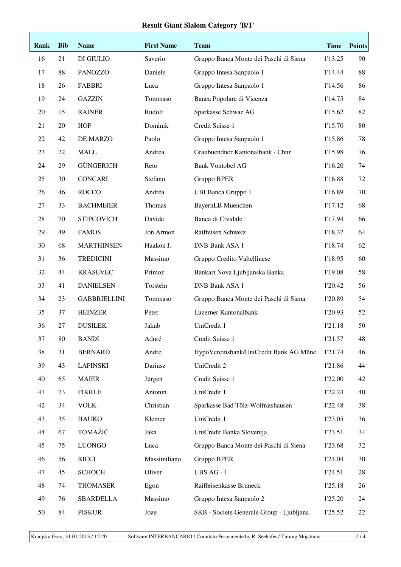| Rank | <b>Bib</b> | <b>Name</b>         | <b>First Name</b> | <b>Team</b>                              | <b>Time</b> | <b>Points</b> |
|------|------------|---------------------|-------------------|------------------------------------------|-------------|---------------|
| 16   | 21         | DI GIULIO           | Saverio           | Gruppo Banca Monte dei Paschi di Siena   | 1'13.25     | 90            |
| 17   | 88         | <b>PANOZZO</b>      | Daniele           | Gruppo Intesa Sanpaolo 1                 | 1'14.44     | 88            |
| 18   | 26         | <b>FABBRI</b>       | Luca              | Gruppo Intesa Sanpaolo 1                 | 1'14.56     | 86            |
| 19   | 24         | <b>GAZZIN</b>       | Tommaso           | Banca Popolare di Vicenza                | 1'14.75     | 84            |
| 20   | 15         | <b>RAINER</b>       | Rudolf            | Sparkasse Schwaz AG                      | 1'15.62     | 82            |
| 21   | 20         | <b>HOF</b>          | Dominik           | Credit Suisse 1                          | 1'15.70     | 80            |
| 22   | 42         | DE MARZO            | Paolo             | Gruppo Intesa Sanpaolo 1                 | 1'15.86     | 78            |
| 23   | 22         | <b>MALL</b>         | Andrea            | Graubuendner Kantonalbank - Chur         | 1'15.98     | 76            |
| 24   | 29         | <b>GÜNGERICH</b>    | Reto              | <b>Bank Vontobel AG</b>                  | 1'16.20     | 74            |
| 25   | 30         | <b>CONCARI</b>      | Stefano           | Gruppo BPER                              | 1'16.88     | 72            |
| 26   | 46         | <b>ROCCO</b>        | Andréa            | <b>UBI Banca Gruppo 1</b>                | 1'16.89     | 70            |
| 27   | 33         | <b>BACHMEIER</b>    | Thomas            | <b>BayernLB</b> Muenchen                 | 1'17.12     | 68            |
| 28   | 70         | <b>STIPCOVICH</b>   | Davide            | Banca di Cividale                        | 1'17.94     | 66            |
| 29   | 49         | <b>FAMOS</b>        | Jon Armon         | Raiffeisen Schweiz                       | 1'18.37     | 64            |
| 30   | 68         | <b>MARTHINSEN</b>   | Haakon J.         | <b>DNB Bank ASA 1</b>                    | 1'18.74     | 62            |
| 31   | 36         | <b>TREDICINI</b>    | Massimo           | Gruppo Credito Valtellinese              | 1'18.95     | 60            |
| 32   | 44         | <b>KRASEVEC</b>     | Primoz            | Bankart Nova Ljubljanska Banka           | 1'19.08     | 58            |
| 33   | 41         | <b>DANIELSEN</b>    | Torstein          | <b>DNB Bank ASA 1</b>                    | 1'20.42     | 56            |
| 34   | 23         | <b>GABBRIELLINI</b> | Tommaso           | Gruppo Banca Monte dei Paschi di Siena   | 1'20.89     | 54            |
| 35   | 37         | <b>HEINZER</b>      | Peter             | Luzerner Kantonalbank                    | 1'20.93     | 52            |
| 36   | 27         | <b>DUSILEK</b>      | Jakub             | UniCredit 1                              | 1'21.18     | 50            |
| 37   | 80         | <b>BANDI</b>        | Adnré             | Credit Suisse 1                          | 1'21.57     | 48            |
| 38   | 31         | <b>BERNARD</b>      | Andre             | HypoVereinsbank/UniCredit Bank AG Münc   | 1'21.74     | 46            |
| 39   | 43         | <b>LAPINSKI</b>     | Dariusz           | UniCredit 2                              | 1'21.86     | 44            |
| 40   | 65         | <b>MAIER</b>        | Jürgen            | Credit Suisse 1                          | 1'22.00     | 42            |
| 41   | 73         | <b>FIKRLE</b>       | Antonin           | UniCredit 1                              | 1'22.24     | 40            |
| 42   | 34         | <b>VOLK</b>         | Christian         | Sparkasse Bad Tölz-Wolfratshausen        | 1'22.48     | 38            |
| 43   | 35         | <b>HAUKO</b>        | Klemen            | UniCredit 1                              | 1'23.05     | 36            |
| 44   | 67         | TOMAŽIČ             | Jaka              | UniCredit Banka Slovenija                | 1'23.51     | 34            |
| 45   | 75         | <b>LUONGO</b>       | Luca              | Gruppo Banca Monte dei Paschi di Siena   | 1'23.68     | 32            |
| 46   | 56         | <b>RICCI</b>        | Massimiliano      | Gruppo BPER                              | 1'24.04     | 30            |
| 47   | 45         | <b>SCHOCH</b>       | Oliver            | UBS AG - 1                               | 1'24.51     | 28            |
| 48   | 74         | <b>THOMASER</b>     | Egon              | Raiffeisenkasse Bruneck                  | 1'25.18     | 26            |
| 49   | 76         | <b>SBARDELLA</b>    | Massimo           | Gruppo Intesa Sanpaolo 2                 | 1'25.20     | 24            |
| 50   | 84         | PISKUR              | Joze              | SKB - Societe Generale Group - Ljubljana | 1'25.52     | 22            |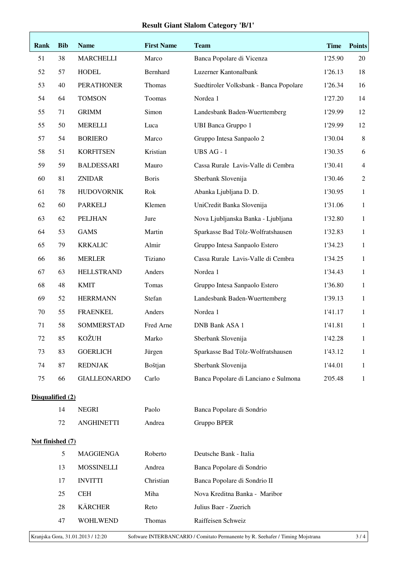| Rank                                                                                                                       | <b>Bib</b> | <b>Name</b>         | <b>First Name</b> | <b>Team</b>                            | <b>Time</b> | <b>Points</b>  |  |
|----------------------------------------------------------------------------------------------------------------------------|------------|---------------------|-------------------|----------------------------------------|-------------|----------------|--|
| 51                                                                                                                         | 38         | <b>MARCHELLI</b>    | Marco             | Banca Popolare di Vicenza              | 1'25.90     | 20             |  |
| 52                                                                                                                         | 57         | <b>HODEL</b>        | Bernhard          | Luzerner Kantonalbank                  | 1'26.13     | 18             |  |
| 53                                                                                                                         | 40         | <b>PERATHONER</b>   | Thomas            | Suedtiroler Volksbank - Banca Popolare | 1'26.34     | 16             |  |
| 54                                                                                                                         | 64         | <b>TOMSON</b>       | Toomas            | Nordea 1                               | 1'27.20     | 14             |  |
| 55                                                                                                                         | 71         | <b>GRIMM</b>        | Simon             | Landesbank Baden-Wuerttemberg          | 1'29.99     | 12             |  |
| 55                                                                                                                         | 50         | <b>MERELLI</b>      | Luca              | <b>UBI Banca Gruppo 1</b>              | 1'29.99     | 12             |  |
| 57                                                                                                                         | 54         | <b>BORIERO</b>      | Marco             | Gruppo Intesa Sanpaolo 2               | 1'30.04     | $\,8\,$        |  |
| 58                                                                                                                         | 51         | <b>KORFITSEN</b>    | Kristian          | UBS AG - 1                             | 1'30.35     | 6              |  |
| 59                                                                                                                         | 59         | <b>BALDESSARI</b>   | Mauro             | Cassa Rurale Lavis-Valle di Cembra     | 1'30.41     | $\overline{4}$ |  |
| 60                                                                                                                         | 81         | <b>ZNIDAR</b>       | <b>Boris</b>      | Sberbank Slovenija                     | 1'30.46     | $\mathfrak{2}$ |  |
| 61                                                                                                                         | 78         | <b>HUDOVORNIK</b>   | Rok               | Abanka Ljubljana D. D.                 | 1'30.95     | $\mathbf{1}$   |  |
| 62                                                                                                                         | 60         | <b>PARKELJ</b>      | Klemen            | UniCredit Banka Slovenija              | 1'31.06     | $\mathbf{1}$   |  |
| 63                                                                                                                         | 62         | <b>PELJHAN</b>      | Jure              | Nova Ljubljanska Banka - Ljubljana     | 1'32.80     | $\mathbf{1}$   |  |
| 64                                                                                                                         | 53         | <b>GAMS</b>         | Martin            | Sparkasse Bad Tölz-Wolfratshausen      | 1'32.83     | $\mathbf{1}$   |  |
| 65                                                                                                                         | 79         | <b>KRKALIC</b>      | Almir             | Gruppo Intesa Sanpaolo Estero          | 1'34.23     | $\mathbf{1}$   |  |
| 66                                                                                                                         | 86         | <b>MERLER</b>       | Tiziano           | Cassa Rurale Lavis-Valle di Cembra     | 1'34.25     | $\mathbf{1}$   |  |
| 67                                                                                                                         | 63         | <b>HELLSTRAND</b>   | Anders            | Nordea 1                               | 1'34.43     | $\mathbf{1}$   |  |
| 68                                                                                                                         | 48         | <b>KMIT</b>         | Tomas             | Gruppo Intesa Sanpaolo Estero          | 1'36.80     | $\mathbf{1}$   |  |
| 69                                                                                                                         | 52         | <b>HERRMANN</b>     | Stefan            | Landesbank Baden-Wuerttemberg          | 1'39.13     | $\mathbf{1}$   |  |
| 70                                                                                                                         | 55         | <b>FRAENKEL</b>     | Anders            | Nordea 1                               | 1'41.17     | $\mathbf{1}$   |  |
| 71                                                                                                                         | 58         | SOMMERSTAD          | Fred Arne         | <b>DNB Bank ASA 1</b>                  | 1'41.81     | $\mathbf{1}$   |  |
| 72                                                                                                                         | 85         | <b>KOŽUH</b>        | Marko             | Sberbank Slovenija                     | 1'42.28     | 1              |  |
| 73                                                                                                                         | 83         | <b>GOERLICH</b>     | Jürgen            | Sparkasse Bad Tölz-Wolfratshausen      | 1'43.12     | 1              |  |
| 74                                                                                                                         | 87         | <b>REDNJAK</b>      | Boštjan           | Sberbank Slovenija                     | 1'44.01     | 1              |  |
| 75                                                                                                                         | 66         | <b>GIALLEONARDO</b> | Carlo             | Banca Popolare di Lanciano e Sulmona   | 2'05.48     | $\mathbf{1}$   |  |
| Disqualified (2)                                                                                                           |            |                     |                   |                                        |             |                |  |
|                                                                                                                            | 14         | <b>NEGRI</b>        | Paolo             | Banca Popolare di Sondrio              |             |                |  |
|                                                                                                                            | 72         | <b>ANGHINETTI</b>   | Andrea            | Gruppo BPER                            |             |                |  |
| Not finished (7)                                                                                                           |            |                     |                   |                                        |             |                |  |
|                                                                                                                            | 5          | <b>MAGGIENGA</b>    | Roberto           | Deutsche Bank - Italia                 |             |                |  |
|                                                                                                                            | 13         | <b>MOSSINELLI</b>   | Andrea            | Banca Popolare di Sondrio              |             |                |  |
|                                                                                                                            | 17         | <b>INVITTI</b>      | Christian         | Banca Popolare di Sondrio II           |             |                |  |
|                                                                                                                            | 25         | <b>CEH</b>          | Miha              | Nova Kreditna Banka - Maribor          |             |                |  |
|                                                                                                                            | 28         | <b>KÄRCHER</b>      | Reto              | Julius Baer - Zuerich                  |             |                |  |
|                                                                                                                            | 47         | <b>WOHLWEND</b>     | Thomas            | Raiffeisen Schweiz                     |             |                |  |
| Kranjska Gora, 31.01.2013 / 12:20<br>Software INTERBANCARIO / Comitato Permanente by R. Seehafer / Timing Mojstrana<br>3/4 |            |                     |                   |                                        |             |                |  |